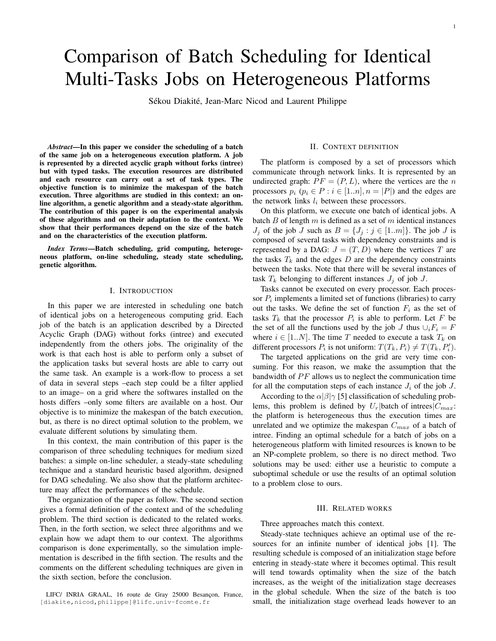# Comparison of Batch Scheduling for Identical Multi-Tasks Jobs on Heterogeneous Platforms

Sékou Diakité, Jean-Marc Nicod and Laurent Philippe

*Abstract*—In this paper we consider the scheduling of a batch of the same job on a heterogeneous execution platform. A job is represented by a directed acyclic graph without forks (intree) but with typed tasks. The execution resources are distributed and each resource can carry out a set of task types. The objective function is to minimize the makespan of the batch execution. Three algorithms are studied in this context: an online algorithm, a genetic algorithm and a steady-state algorithm. The contribution of this paper is on the experimental analysis of these algorithms and on their adaptation to the context. We show that their performances depend on the size of the batch and on the characteristics of the execution platform.

*Index Terms*—Batch scheduling, grid computing, heterogeneous platform, on-line scheduling, steady state scheduling, genetic algorithm.

# I. INTRODUCTION

In this paper we are interested in scheduling one batch of identical jobs on a heterogeneous computing grid. Each job of the batch is an application described by a Directed Acyclic Graph (DAG) without forks (intree) and executed independently from the others jobs. The originality of the work is that each host is able to perform only a subset of the application tasks but several hosts are able to carry out the same task. An example is a work-flow to process a set of data in several steps –each step could be a filter applied to an image– on a grid where the softwares installed on the hosts differs –only some filters are available on a host. Our objective is to minimize the makespan of the batch execution, but, as there is no direct optimal solution to the problem, we evaluate different solutions by simulating them.

In this context, the main contribution of this paper is the comparison of three scheduling techniques for medium sized batches: a simple on-line scheduler, a steady-state scheduling technique and a standard heuristic based algorithm, designed for DAG scheduling. We also show that the platform architecture may affect the performances of the schedule.

The organization of the paper as follow. The second section gives a formal definition of the context and of the scheduling problem. The third section is dedicated to the related works. Then, in the forth section, we select three algorithms and we explain how we adapt them to our context. The algorithms comparison is done experimentally, so the simulation implementation is described in the fifth section. The results and the comments on the different scheduling techniques are given in the sixth section, before the conclusion.

## II. CONTEXT DEFINITION

The platform is composed by a set of processors which communicate through network links. It is represented by an undirected graph:  $PF = (P, L)$ , where the vertices are the n processors  $p_i$  ( $p_i \in P : i \in [1..n], n = |P|$ ) and the edges are the network links  $l_i$  between these processors.

On this platform, we execute one batch of identical jobs. A batch  $B$  of length  $m$  is defined as a set of  $m$  identical instances  $J_j$  of the job J such as  $B = \{J_j : j \in [1..m]\}$ . The job J is composed of several tasks with dependency constraints and is represented by a DAG:  $J = (T, D)$  where the vertices T are the tasks  $T_k$  and the edges  $D$  are the dependency constraints between the tasks. Note that there will be several instances of task  $T_k$  belonging to different instances  $J_i$  of job  $J$ .

Tasks cannot be executed on every processor. Each processor  $P_i$  implements a limited set of functions (libraries) to carry out the tasks. We define the set of function  $F_i$  as the set of tasks  $T_k$  that the processor  $P_i$  is able to perform. Let F be the set of all the functions used by the job J thus  $\bigcup_i F_i = F$ where  $i \in [1..N]$ . The time T needed to execute a task  $T_k$  on different processors  $P_i$  is not uniform:  $T(T_k, P_i) \neq T(T_k, P'_i)$ .

The targeted applications on the grid are very time consuming. For this reason, we make the assumption that the bandwidth of  $PF$  allows us to neglect the communication time for all the computation steps of each instance  $J_i$  of the job  $J$ .

According to the  $\alpha|\beta|\gamma$  [5] classification of scheduling problems, this problem is defined by  $U_r$  batch of intrees  $|C_{max}$ : the platform is heterogeneous thus the execution times are unrelated and we optimize the makespan  $C_{max}$  of a batch of intree. Finding an optimal schedule for a batch of jobs on a heterogeneous platform with limited resources is known to be an NP-complete problem, so there is no direct method. Two solutions may be used: either use a heuristic to compute a suboptimal schedule or use the results of an optimal solution to a problem close to ours.

#### III. RELATED WORKS

Three approaches match this context.

Steady-state techniques achieve an optimal use of the resources for an infinite number of identical jobs [1]. The resulting schedule is composed of an initialization stage before entering in steady-state where it becomes optimal. This result will tend towards optimality when the size of the batch increases, as the weight of the initialization stage decreases in the global schedule. When the size of the batch is too small, the initialization stage overhead leads however to an

LIFC/ INRIA GRAAL, 16 route de Gray 25000 Besancon, France, [diakite,nicod,philippe]@lifc.univ-fcomte.fr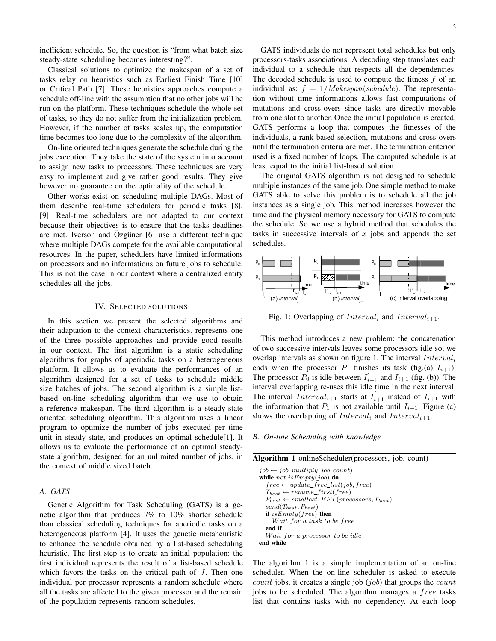inefficient schedule. So, the question is "from what batch size steady-state scheduling becomes interesting?".

Classical solutions to optimize the makespan of a set of tasks relay on heuristics such as Earliest Finish Time [10] or Critical Path [7]. These heuristics approaches compute a schedule off-line with the assumption that no other jobs will be run on the platform. These techniques schedule the whole set of tasks, so they do not suffer from the initialization problem. However, if the number of tasks scales up, the computation time becomes too long due to the complexity of the algorithm.

On-line oriented techniques generate the schedule during the jobs execution. They take the state of the system into account to assign new tasks to processors. These techniques are very easy to implement and give rather good results. They give however no guarantee on the optimality of the schedule.

Other works exist on scheduling multiple DAGs. Most of them describe real-time schedulers for periodic tasks [8], [9]. Real-time schedulers are not adapted to our context because their objectives is to ensure that the tasks deadlines are met. Iverson and Özgüner  $[6]$  use a different technique where multiple DAGs compete for the available computational resources. In the paper, schedulers have limited informations on processors and no informations on future jobs to schedule. This is not the case in our context where a centralized entity schedules all the jobs.

## IV. SELECTED SOLUTIONS

In this section we present the selected algorithms and their adaptation to the context characteristics. represents one of the three possible approaches and provide good results in our context. The first algorithm is a static scheduling algorithms for graphs of aperiodic tasks on a heterogeneous platform. It allows us to evaluate the performances of an algorithm designed for a set of tasks to schedule middle size batches of jobs. The second algorithm is a simple listbased on-line scheduling algorithm that we use to obtain a reference makespan. The third algorithm is a steady-state oriented scheduling algorithm. This algorithm uses a linear program to optimize the number of jobs executed per time unit in steady-state, and produces an optimal schedule[1]. It allows us to evaluate the performance of an optimal steadystate algorithm, designed for an unlimited number of jobs, in the context of middle sized batch.

# *A. GATS*

Genetic Algorithm for Task Scheduling (GATS) is a genetic algorithm that produces 7% to 10% shorter schedule than classical scheduling techniques for aperiodic tasks on a heterogeneous platform [4]. It uses the genetic metaheuristic to enhance the schedule obtained by a list-based scheduling heuristic. The first step is to create an initial population: the first individual represents the result of a list-based schedule which favors the tasks on the critical path of J. Then one individual per processor represents a random schedule where all the tasks are affected to the given processor and the remain of the population represents random schedules.

GATS individuals do not represent total schedules but only processors-tasks associations. A decoding step translates each individual to a schedule that respects all the dependencies. The decoded schedule is used to compute the fitness  $f$  of an individual as:  $f = 1/Makespan(schedule)$ . The representation without time informations allows fast computations of mutations and cross-overs since tasks are directly movable from one slot to another. Once the initial population is created, GATS performs a loop that computes the fitnesses of the individuals, a rank-based selection, mutations and cross-overs until the termination criteria are met. The termination criterion used is a fixed number of loops. The computed schedule is at least equal to the initial list-based solution.

The original GATS algorithm is not designed to schedule multiple instances of the same job. One simple method to make GATS able to solve this problem is to schedule all the job instances as a single job. This method increases however the time and the physical memory necessary for GATS to compute the schedule. So we use a hybrid method that schedules the tasks in successive intervals of  $x$  jobs and appends the set schedules.



Fig. 1: Overlapping of  $Interval_i$  and  $Interval_{i+1}$ .

This method introduces a new problem: the concatenation of two successive intervals leaves some processors idle so, we overlap intervals as shown on figure 1. The interval  $Interval<sub>i</sub>$ ends when the processor  $P_1$  finishes its task (fig.(a)  $I_{i+1}$ ). The processor  $P_0$  is idle between  $I_{i+1}$  and  $I_{i+1}$  (fig. (b)). The interval overlapping re-uses this idle time in the next interval. The interval  $Interval_{i+1}$  starts at  $I_{i+1}'$  instead of  $I_{i+1}$  with the information that  $P_1$  is not available until  $I_{i+1}$ . Figure (c) shows the overlapping of  $Interval_i$  and  $Interval_{i+1}$ .

## *B. On-line Scheduling with knowledge*

Algorithm 1 onlineScheduler(processors, job, count)

 $job \leftarrow job \ multiply(job, count)$ while not isEmpty(job) do  $free \leftarrow update\_free\_list(job, free)$  $T_{best} \leftarrow remove\_first(free)$  $P_{best} \leftarrow smallest\_EFT(processors, T_{best})$  $send(T_{best}, P_{best})$ if  $isEmpty(free)$  then Wait for a task to be free end if Wait for a processor to be idle end while

The algorithm 1 is a simple implementation of an on-line scheduler. When the on-line scheduler is asked to execute *count* jobs, it creates a single job  $(job)$  that groups the *count* jobs to be scheduled. The algorithm manages a free tasks list that contains tasks with no dependency. At each loop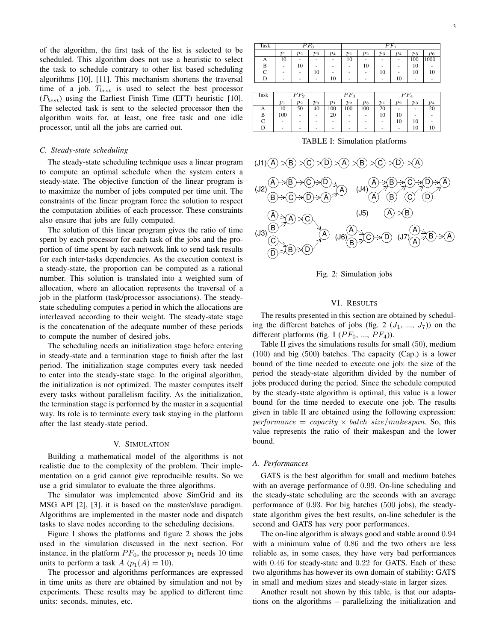of the algorithm, the first task of the list is selected to be scheduled. This algorithm does not use a heuristic to select the task to schedule contrary to other list based scheduling algorithms [10], [11]. This mechanism shortens the traversal time of a job.  $T_{best}$  is used to select the best processor  $(P_{best})$  using the Earliest Finish Time (EFT) heuristic [10]. The selected task is sent to the selected processor then the algorithm waits for, at least, one free task and one idle processor, until all the jobs are carried out.

## *C. Steady-state scheduling*

The steady-state scheduling technique uses a linear program to compute an optimal schedule when the system enters a steady-state. The objective function of the linear program is to maximize the number of jobs computed per time unit. The constraints of the linear program force the solution to respect the computation abilities of each processor. These constraints also ensure that jobs are fully computed.

The solution of this linear program gives the ratio of time spent by each processor for each task of the jobs and the proportion of time spent by each network link to send task results for each inter-tasks dependencies. As the execution context is a steady-state, the proportion can be computed as a rational number. This solution is translated into a weighted sum of allocation, where an allocation represents the traversal of a job in the platform (task/processor associations). The steadystate scheduling computes a period in which the allocations are interleaved according to their weight. The steady-state stage is the concatenation of the adequate number of these periods to compute the number of desired jobs.

The scheduling needs an initialization stage before entering in steady-state and a termination stage to finish after the last period. The initialization stage computes every task needed to enter into the steady-state stage. In the original algorithm, the initialization is not optimized. The master computes itself every tasks without parallelism facility. As the initialization, the termination stage is performed by the master in a sequential way. Its role is to terminate every task staying in the platform after the last steady-state period.

## V. SIMULATION

Building a mathematical model of the algorithms is not realistic due to the complexity of the problem. Their implementation on a grid cannot give reproducible results. So we use a grid simulator to evaluate the three algorithms.

The simulator was implemented above SimGrid and its MSG API [2], [3]. it is based on the master/slave paradigm. Algorithms are implemented in the master node and dispatch tasks to slave nodes according to the scheduling decisions.

Figure I shows the platforms and figure 2 shows the jobs used in the simulation discussed in the next section. For instance, in the platform  $PF_0$ , the processor  $p_1$  needs 10 time units to perform a task  $A$  ( $p_1(A) = 10$ ).

The processor and algorithms performances are expressed in time units as there are obtained by simulation and not by experiments. These results may be applied to different time units: seconds, minutes, etc.

| Task        | $\overline{PF_0}$ |                |                          |                | $\overline{PF_1}$ |       |                          |                |                   |                |
|-------------|-------------------|----------------|--------------------------|----------------|-------------------|-------|--------------------------|----------------|-------------------|----------------|
|             | $p_1$             | p <sub>2</sub> | $p_3$                    | p <sub>4</sub> | $p_1$             | $p_2$ | $p_3$                    | p <sub>4</sub> | $p_5$             | $p_6$          |
| A           | 10                |                |                          |                | 10                |       |                          |                | 100               | 1000           |
| B           |                   | 10             |                          |                |                   | 10    |                          |                | 10                |                |
| C           |                   |                | 10                       |                |                   |       | 10                       |                | 10                | 10             |
| D           |                   | ۰              | $\overline{\phantom{a}}$ | 10             | -                 | ۰     | $\overline{\phantom{a}}$ | 10             | ۰                 | ۰              |
|             |                   |                |                          |                |                   |       |                          |                |                   |                |
|             |                   |                |                          |                |                   |       |                          |                |                   |                |
| <b>Task</b> |                   | $PF_2$         |                          |                | $PF_3$            |       |                          |                | $\overline{PF_4}$ |                |
|             | $p_1$             | p <sub>2</sub> | $p_3$                    | p <sub>1</sub> | p <sub>2</sub>    | $p_3$ | p <sub>1</sub>           | $p_2$          | $p_3$             | p <sub>4</sub> |
| А           | 10                | 50             | 40                       | 100            | 100               | 100   | 20                       |                |                   | 20             |
| B           | 100               | ۰              |                          | 20             |                   |       | 10                       | 10             |                   |                |
| C           |                   |                |                          |                |                   |       |                          | 10             | 10                |                |

TABLE I: Simulation platforms



Fig. 2: Simulation jobs

# VI. RESULTS

The results presented in this section are obtained by scheduling the different batches of jobs (fig. 2  $(J_1, ..., J_7)$ ) on the different platforms (fig. I  $(PF_0, ..., PF_4)$ ).

Table II gives the simulations results for small (50), medium (100) and big (500) batches. The capacity (Cap.) is a lower bound of the time needed to execute one job: the size of the period the steady-state algorithm divided by the number of jobs produced during the period. Since the schedule computed by the steady-state algorithm is optimal, this value is a lower bound for the time needed to execute one job. The results given in table II are obtained using the following expression: performance = capacity  $\times$  batch size/makespan. So, this value represents the ratio of their makespan and the lower bound.

## *A. Performances*

GATS is the best algorithm for small and medium batches with an average performance of 0.99. On-line scheduling and the steady-state scheduling are the seconds with an average performance of 0.93. For big batches (500 jobs), the steadystate algorithm gives the best results, on-line scheduler is the second and GATS has very poor performances.

The on-line algorithm is always good and stable around 0.94 with a minimum value of 0.86 and the two others are less reliable as, in some cases, they have very bad performances with 0.46 for steady-state and 0.22 for GATS. Each of these two algorithms has however its own domain of stability: GATS in small and medium sizes and steady-state in larger sizes.

Another result not shown by this table, is that our adaptations on the algorithms – parallelizing the initialization and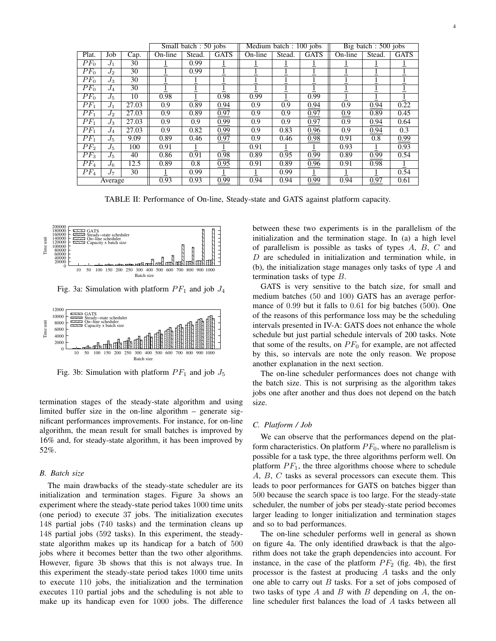|                   |         | Small batch $: 50$ jobs |         |        | Medium batch: 100 jobs |         |        | Big batch: $500$ jobs |         |        |             |
|-------------------|---------|-------------------------|---------|--------|------------------------|---------|--------|-----------------------|---------|--------|-------------|
| Plat.             | Job     | $\overline{Cap}.$       | On-line | Stead. | <b>GATS</b>            | On-line | Stead. | <b>GATS</b>           | On-line | Stead. | <b>GATS</b> |
| $PF_0$            | $J_1$   | 30                      |         | 0.99   |                        |         |        |                       |         |        |             |
| $PF_0$            | $J_2$   | 30                      |         | 0.99   |                        |         |        |                       |         |        |             |
| $PF_0$            | $J_3$   | 30                      |         |        |                        |         |        |                       |         |        |             |
| $PF_0$            | $J_4$   | 30                      |         |        |                        |         |        |                       |         |        |             |
| $\overline{PF_0}$ | $J_5$   | 10                      | 0.98    |        | 0.98                   | 0.99    |        | 0.99                  |         |        |             |
| $PF_1$            | $J_1$   | 27.03                   | 0.9     | 0.89   | 0.94                   | 0.9     | 0.9    | 0.94                  | 0.9     | 0.94   | 0.22        |
| $PF_1$            | $J_2$   | 27.03                   | 0.9     | 0.89   | 0.97                   | 0.9     | 0.9    | 0.97                  | 0.9     | 0.89   | 0.45        |
| $\overline{PF_1}$ | $J_3$   | 27.03                   | 0.9     | 0.9    | 0.99                   | 0.9     | 0.9    | 0.97                  | 0.9     | 0.94   | 0.64        |
| $PF_1$            | $J_{4}$ | 27.03                   | 0.9     | 0.82   | 0.99                   | 0.9     | 0.83   | 0.96                  | 0.9     | 0.94   | 0.3         |
| $\overline{PF_1}$ | $J_5$   | 9.09                    | 0.89    | 0.46   | 0.97                   | 0.9     | 0.46   | 0.98                  | 0.91    | 0.8    | 0.99        |
| $PF_2$            | $J_5$   | 100                     | 0.91    |        |                        | 0.91    |        |                       | 0.93    |        | 0.93        |
| $PF_3$            | $J_5$   | 40                      | 0.86    | 0.91   | 0.98                   | 0.89    | 0.95   | 0.99                  | 0.89    | 0.99   | 0.54        |
| $PF_4$            | $J_{6}$ | 12.5                    | 0.89    | 0.8    | 0.95                   | 0.91    | 0.89   | 0.96                  | 0.91    | 0.98   |             |
| $PF_4$            | $J_7$   | 30                      |         | 0.99   |                        |         | 0.99   |                       |         |        | 0.54        |
|                   | Average |                         | 0.93    | 0.93   | 0.99                   | 0.94    | 0.94   | 0.99                  | 0.94    | 0.97   | 0.61        |

TABLE II: Performance of On-line, Steady-state and GATS against platform capacity.



Fig. 3a: Simulation with platform  $PF_1$  and job  $J_4$ 



Fig. 3b: Simulation with platform  $PF_1$  and job  $J_5$ 

termination stages of the steady-state algorithm and using limited buffer size in the on-line algorithm – generate significant performances improvements. For instance, for on-line algorithm, the mean result for small batches is improved by 16% and, for steady-state algorithm, it has been improved by 52%.

#### *B. Batch size*

The main drawbacks of the steady-state scheduler are its initialization and termination stages. Figure 3a shows an experiment where the steady-state period takes 1000 time units (one period) to execute 37 jobs. The initialization executes 148 partial jobs (740 tasks) and the termination cleans up 148 partial jobs (592 tasks). In this experiment, the steadystate algorithm makes up its handicap for a batch of 500 jobs where it becomes better than the two other algorithms. However, figure 3b shows that this is not always true. In this experiment the steady-state period takes 1000 time units to execute 110 jobs, the initialization and the termination executes 110 partial jobs and the scheduling is not able to make up its handicap even for 1000 jobs. The difference between these two experiments is in the parallelism of the initialization and the termination stage. In (a) a high level of parallelism is possible as tasks of types A, B, C and  $D$  are scheduled in initialization and termination while, in (b), the initialization stage manages only tasks of type  $A$  and termination tasks of type B.

GATS is very sensitive to the batch size, for small and medium batches (50 and 100) GATS has an average performance of 0.99 but it falls to 0.61 for big batches (500). One of the reasons of this performance loss may be the scheduling intervals presented in IV-A: GATS does not enhance the whole schedule but just partial schedule intervals of 200 tasks. Note that some of the results, on  $PF_0$  for example, are not affected by this, so intervals are note the only reason. We propose another explanation in the next section.

The on-line scheduler performances does not change with the batch size. This is not surprising as the algorithm takes jobs one after another and thus does not depend on the batch size.

#### *C. Platform / Job*

We can observe that the performances depend on the platform characteristics. On platform  $PF_0$ , where no parallelism is possible for a task type, the three algorithms perform well. On platform  $PF_1$ , the three algorithms choose where to schedule A, B, C tasks as several processors can execute them. This leads to poor performances for GATS on batches bigger than 500 because the search space is too large. For the steady-state scheduler, the number of jobs per steady-state period becomes larger leading to longer initialization and termination stages and so to bad performances.

The on-line scheduler performs well in general as shown on figure 4a. The only identified drawback is that the algorithm does not take the graph dependencies into account. For instance, in the case of the platform  $PF_2$  (fig. 4b), the first processor is the fastest at producing A tasks and the only one able to carry out  $B$  tasks. For a set of jobs composed of two tasks of type  $A$  and  $B$  with  $B$  depending on  $A$ , the online scheduler first balances the load of A tasks between all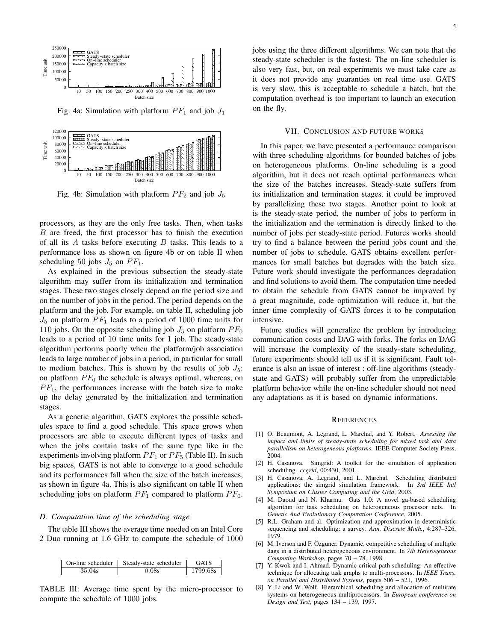

Batch size Fig. 4b: Simulation with platform  $PF_2$  and job  $J_5$ 

10 50 100 150 200 250 300 400 500 600 700 800 900 1000

500 600

processors, as they are the only free tasks. Then, when tasks B are freed, the first processor has to finish the execution of all its  $A$  tasks before executing  $B$  tasks. This leads to a performance loss as shown on figure 4b or on table II when scheduling 50 jobs  $J_5$  on  $PF_1$ .

As explained in the previous subsection the steady-state algorithm may suffer from its initialization and termination stages. These two stages closely depend on the period size and on the number of jobs in the period. The period depends on the platform and the job. For example, on table II, scheduling job  $J_5$  on platform  $PF_1$  leads to a period of 1000 time units for 110 jobs. On the opposite scheduling job  $J_5$  on platform  $PF_0$ leads to a period of 10 time units for 1 job. The steady-state algorithm performs poorly when the platform/job association leads to large number of jobs in a period, in particular for small to medium batches. This is shown by the results of job  $J_5$ : on platform  $PF_0$  the schedule is always optimal, whereas, on  $PF<sub>1</sub>$ , the performances increase with the batch size to make up the delay generated by the initialization and termination stages.

As a genetic algorithm, GATS explores the possible schedules space to find a good schedule. This space grows when processors are able to execute different types of tasks and when the jobs contain tasks of the same type like in the experiments involving platform  $PF_1$  or  $PF_5$  (Table II). In such big spaces, GATS is not able to converge to a good schedule and its performances fall when the size of the batch increases, as shown in figure 4a. This is also significant on table II when scheduling jobs on platform  $PF_1$  compared to platform  $PF_0$ .

# *D. Computation time of the scheduling stage*

The table III shows the average time needed on an Intel Core 2 Duo running at 1.6 GHz to compute the schedule of 1000

| On-line scheduler | Steady-state scheduler | <b>GATS</b> |
|-------------------|------------------------|-------------|
| 35.04s            | 0.08s                  | 1799.68s    |

TABLE III: Average time spent by the micro-processor to compute the schedule of 1000 jobs.

jobs using the three different algorithms. We can note that the steady-state scheduler is the fastest. The on-line scheduler is also very fast, but, on real experiments we must take care as it does not provide any guaranties on real time use. GATS is very slow, this is acceptable to schedule a batch, but the computation overhead is too important to launch an execution on the fly.

#### VII. CONCLUSION AND FUTURE WORKS

In this paper, we have presented a performance comparison with three scheduling algorithms for bounded batches of jobs on heterogeneous platforms. On-line scheduling is a good algorithm, but it does not reach optimal performances when the size of the batches increases. Steady-state suffers from its initialization and termination stages. it could be improved by parallelizing these two stages. Another point to look at is the steady-state period, the number of jobs to perform in the initialization and the termination is directly linked to the number of jobs per steady-state period. Futures works should try to find a balance between the period jobs count and the number of jobs to schedule. GATS obtains excellent performances for small batches but degrades with the batch size. Future work should investigate the performances degradation and find solutions to avoid them. The computation time needed to obtain the schedule from GATS cannot be improved by a great magnitude, code optimization will reduce it, but the inner time complexity of GATS forces it to be computation intensive.

Future studies will generalize the problem by introducing communication costs and DAG with forks. The forks on DAG will increase the complexity of the steady-state scheduling, future experiments should tell us if it is significant. Fault tolerance is also an issue of interest : off-line algorithms (steadystate and GATS) will probably suffer from the unpredictable platform behavior while the on-line scheduler should not need any adaptations as it is based on dynamic informations.

#### **REFERENCES**

- [1] O. Beaumont, A. Legrand, L. Marchal, and Y. Robert. *Assessing the impact and limits of steady-state scheduling for mixed task and data parallelism on heterogeneous platforms*. IEEE Computer Society Press, 2004.
- [2] H. Casanova. Simgrid: A toolkit for the simulation of application scheduling. *ccgrid*, 00:430, 2001.
- [3] H. Casanova, A. Legrand, and L. Marchal. Scheduling distributed applications: the simgrid simulation framework. In *3rd IEEE Intl Symposium on Cluster Computing and the Grid*, 2003.
- [4] M. Daoud and N. Kharma. Gats 1.0: A novel ga-based scheduling algorithm for task scheduling on heterogeneous processor nets. In *Genetic And Evolutionary Computation Conference*, 2005.
- [5] R.L. Graham and al. Optimization and approximation in deterministic sequencing and scheduling: a survey. *Ann. Discrete Math.*, 4:287–326, 1979.
- [6] M. Iverson and F. Özgüner. Dynamic, competitive scheduling of multiple dags in a distributed heterogeneous environment. In *7th Heterogeneous Computing Workshop*, pages 70 – 78, 1998.
- [7] Y. Kwok and I. Ahmad. Dynamic critical-path scheduling: An effective technique for allocating task graphs to multi-processors. In *IEEE Trans. on Parallel and Distributed Systems*, pages 506 – 521, 1996.
- [8] Y. Li and W. Wolf. Hierarchical scheduling and allocation of multirate systems on heterogeneous multiprocessors. In *European conference on Design and Test*, pages 134 – 139, 1997.